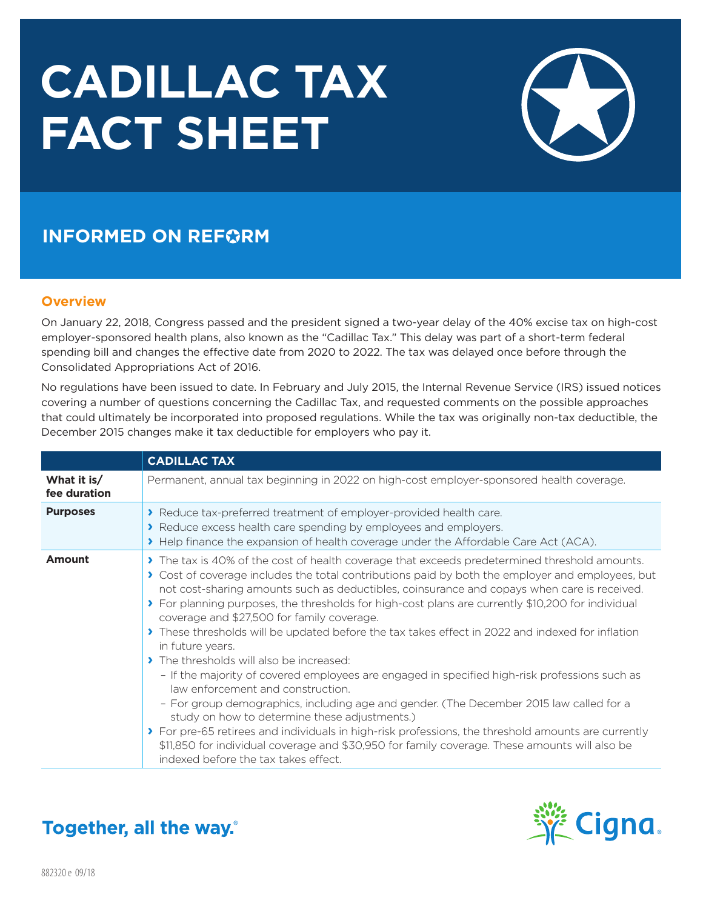# **CADILLAC TAX FACT SHEET**



## **INFORMED ON REFORM**

#### **Overview**

On January 22, 2018, Congress passed and the president signed a two-year delay of the 40% excise tax on high-cost employer-sponsored health plans, also known as the "Cadillac Tax." This delay was part of a short-term federal spending bill and changes the effective date from 2020 to 2022. The tax was delayed once before through the Consolidated Appropriations Act of 2016.

No regulations have been issued to date. In February and July 2015, the Internal Revenue Service (IRS) issued notices covering a number of questions concerning the Cadillac Tax, and requested comments on the possible approaches that could ultimately be incorporated into proposed regulations. While the tax was originally non-tax deductible, the December 2015 changes make it tax deductible for employers who pay it.

|                             | <b>CADILLAC TAX</b>                                                                                                                                                                                                                                                                                                                                                                                                                                                                                                                                                                                                                                                                                                                                                                                                                                                                                                                                                                                                                                                                                                                                   |  |  |  |  |  |
|-----------------------------|-------------------------------------------------------------------------------------------------------------------------------------------------------------------------------------------------------------------------------------------------------------------------------------------------------------------------------------------------------------------------------------------------------------------------------------------------------------------------------------------------------------------------------------------------------------------------------------------------------------------------------------------------------------------------------------------------------------------------------------------------------------------------------------------------------------------------------------------------------------------------------------------------------------------------------------------------------------------------------------------------------------------------------------------------------------------------------------------------------------------------------------------------------|--|--|--|--|--|
| What it is/<br>fee duration | Permanent, annual tax beginning in 2022 on high-cost employer-sponsored health coverage.                                                                                                                                                                                                                                                                                                                                                                                                                                                                                                                                                                                                                                                                                                                                                                                                                                                                                                                                                                                                                                                              |  |  |  |  |  |
| <b>Purposes</b>             | > Reduce tax-preferred treatment of employer-provided health care.<br>Reduce excess health care spending by employees and employers.<br>> Help finance the expansion of health coverage under the Affordable Care Act (ACA).                                                                                                                                                                                                                                                                                                                                                                                                                                                                                                                                                                                                                                                                                                                                                                                                                                                                                                                          |  |  |  |  |  |
| Amount                      | The tax is 40% of the cost of health coverage that exceeds predetermined threshold amounts.<br>> Cost of coverage includes the total contributions paid by both the employer and employees, but<br>not cost-sharing amounts such as deductibles, coinsurance and copays when care is received.<br>> For planning purposes, the thresholds for high-cost plans are currently \$10,200 for individual<br>coverage and \$27,500 for family coverage.<br>These thresholds will be updated before the tax takes effect in 2022 and indexed for inflation<br>in future years.<br>> The thresholds will also be increased:<br>- If the majority of covered employees are engaged in specified high-risk professions such as<br>law enforcement and construction.<br>- For group demographics, including age and gender. (The December 2015 law called for a<br>study on how to determine these adjustments.)<br>> For pre-65 retirees and individuals in high-risk professions, the threshold amounts are currently<br>\$11,850 for individual coverage and \$30,950 for family coverage. These amounts will also be<br>indexed before the tax takes effect. |  |  |  |  |  |



**Together, all the way.**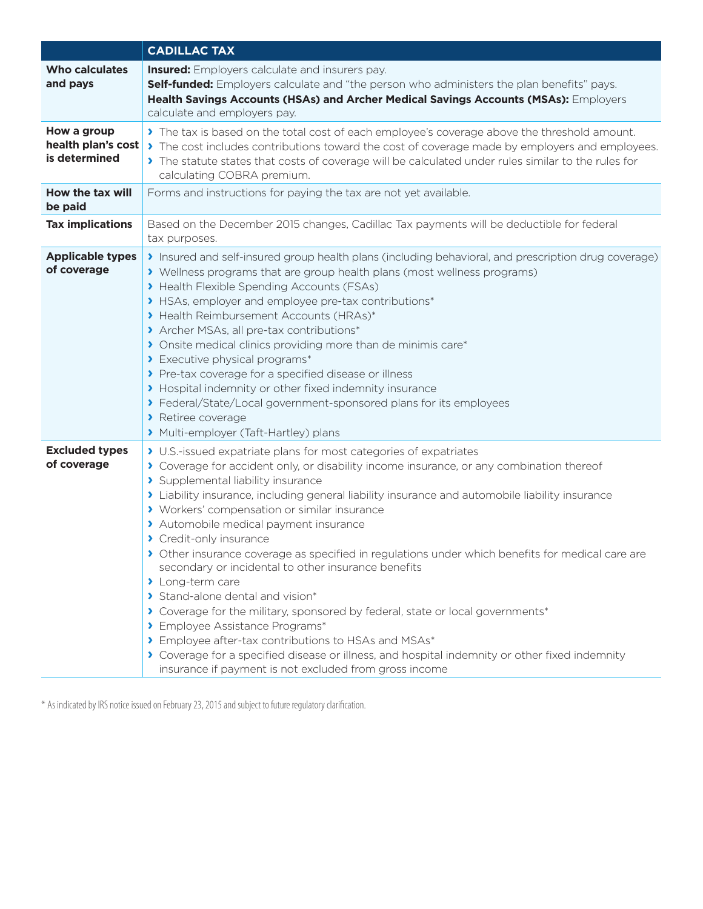|                                                    | <b>CADILLAC TAX</b>                                                                                                                                                                                                                                                                                                                                                                                                                                                                                                                                                                                                                                                                                                                                                                                                                                                                                                                                                                 |  |  |  |  |  |
|----------------------------------------------------|-------------------------------------------------------------------------------------------------------------------------------------------------------------------------------------------------------------------------------------------------------------------------------------------------------------------------------------------------------------------------------------------------------------------------------------------------------------------------------------------------------------------------------------------------------------------------------------------------------------------------------------------------------------------------------------------------------------------------------------------------------------------------------------------------------------------------------------------------------------------------------------------------------------------------------------------------------------------------------------|--|--|--|--|--|
| <b>Who calculates</b><br>and pays                  | <b>Insured:</b> Employers calculate and insurers pay.<br>Self-funded: Employers calculate and "the person who administers the plan benefits" pays.<br>Health Savings Accounts (HSAs) and Archer Medical Savings Accounts (MSAs): Employers<br>calculate and employers pay.                                                                                                                                                                                                                                                                                                                                                                                                                                                                                                                                                                                                                                                                                                          |  |  |  |  |  |
| How a group<br>health plan's cost<br>is determined | > The tax is based on the total cost of each employee's coverage above the threshold amount.<br>The cost includes contributions toward the cost of coverage made by employers and employees.<br>> The statute states that costs of coverage will be calculated under rules similar to the rules for<br>calculating COBRA premium.                                                                                                                                                                                                                                                                                                                                                                                                                                                                                                                                                                                                                                                   |  |  |  |  |  |
| How the tax will<br>be paid                        | Forms and instructions for paying the tax are not yet available.                                                                                                                                                                                                                                                                                                                                                                                                                                                                                                                                                                                                                                                                                                                                                                                                                                                                                                                    |  |  |  |  |  |
| <b>Tax implications</b>                            | Based on the December 2015 changes, Cadillac Tax payments will be deductible for federal<br>tax purposes.                                                                                                                                                                                                                                                                                                                                                                                                                                                                                                                                                                                                                                                                                                                                                                                                                                                                           |  |  |  |  |  |
| <b>Applicable types</b><br>of coverage             | Insured and self-insured group health plans (including behavioral, and prescription drug coverage)<br>> Wellness programs that are group health plans (most wellness programs)<br>> Health Flexible Spending Accounts (FSAs)<br>> HSAs, employer and employee pre-tax contributions*<br>> Health Reimbursement Accounts (HRAs)*<br>> Archer MSAs, all pre-tax contributions*<br>> Onsite medical clinics providing more than de minimis care*<br>> Executive physical programs*<br>> Pre-tax coverage for a specified disease or illness<br>> Hospital indemnity or other fixed indemnity insurance<br>> Federal/State/Local government-sponsored plans for its employees<br>Retiree coverage<br>> Multi-employer (Taft-Hartley) plans                                                                                                                                                                                                                                              |  |  |  |  |  |
| <b>Excluded types</b><br>of coverage               | > U.S.-issued expatriate plans for most categories of expatriates<br>> Coverage for accident only, or disability income insurance, or any combination thereof<br>> Supplemental liability insurance<br>> Liability insurance, including general liability insurance and automobile liability insurance<br>> Workers' compensation or similar insurance<br>> Automobile medical payment insurance<br>> Credit-only insurance<br>> Other insurance coverage as specified in regulations under which benefits for medical care are<br>secondary or incidental to other insurance benefits<br>> Long-term care<br>> Stand-alone dental and vision*<br>Coverage for the military, sponsored by federal, state or local governments*<br>> Employee Assistance Programs*<br>> Employee after-tax contributions to HSAs and MSAs*<br>Coverage for a specified disease or illness, and hospital indemnity or other fixed indemnity<br>insurance if payment is not excluded from gross income |  |  |  |  |  |

\* As indicated by IRS notice issued on February 23, 2015 and subject to future regulatory clarification.